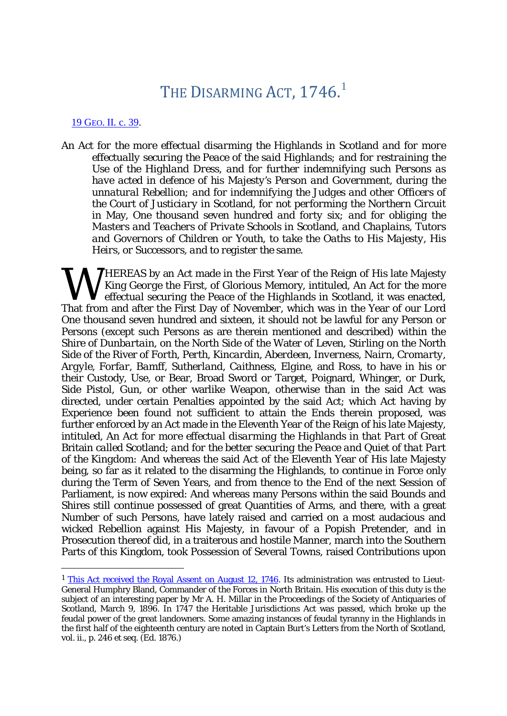## THE DISARMING ACT, [1](#page-0-0)746.<sup>1</sup>

## 19 GEO. [II. c. 39.](https://archive.org/stream/historicalgeogra00john#page/38/mode/2up)

*An Act for the more effectual disarming the Highlands in* Scotland *and for more effectually securing the Peace of the said Highlands; and for restraining the Use of the Highland Dress, and for further indemnifying such Persons as have acted in defence of his Majesty's Person and Government, during the unnatural Rebellion; and for indemnifying the Judges and other Officers of the Court of Justiciary in* Scotland, *for not performing the Northern Circuit in* May, *One thousand seven hundred and forty six; and for obliging the Masters and Teachers of Private Schools in* Scotland, *and Chaplains, Tutors and Governors of Children or Youth, to take the Oaths to His Majesty, His Heirs, or Successors, and to register the same.*

**THEREAS** by an Act made in the First Year of the Reign of His late Majesty King *George* the First, of Glorious Memory, intituled, *An Act for the more effectual securing the Peace of the Highlands in* Scotland, it was enacted, **THEREAS** by an Act made in the First Year of the Reign of His late Majesty<br>King *George* the First, of Glorious Memory, intituled, *An Act for the more*<br>*effectual securing the Peace of the Highlands in* Scotland, it was One thousand seven hundred and sixteen, it should not be lawful for any Person or Persons (except such Persons as are therein mentioned and described) within the Shire of *Dunbartain,* on the North Side of the Water of *Leven, Stirling* on the North Side of the River of *Forth, Perth, Kincardin, Aberdeen, Inverness, Nairn, Cromarty, Argyle, Forfar, Bamff, Sutherland, Caithness, Elgine,* and *Ross,* to have in his or their Custody, Use, or Bear, Broad Sword or Target, Poignard, Whinger, or Durk, Side Pistol, Gun, or other warlike Weapon, otherwise than in the said Act was directed, under certain Penalties appointed by the said Act; which Act having by Experience been found not sufficient to attain the Ends therein proposed, was further enforced by an Act made in the Eleventh Year of the Reign of his late Majesty, intituled, *An Act for more effectual disarming the Highlands in that Part of* Great Britain *called* Scotland; *and for the better securing the Peace and Quiet of that Part of the Kingdom:* And whereas the said Act of the Eleventh Year of His late Majesty being, so far as it related to the disarming the Highlands, to continue in Force only during the Term of Seven Years, and from thence to the End of the next Session of Parliament, is now expired: And whereas many Persons within the said Bounds and Shires still continue possessed of great Quantities of Arms, and there, with a great Number of such Persons, have lately raised and carried on a most audacious and wicked Rebellion against His Majesty, in favour of a Popish Pretender, and in Prosecution thereof did, in a traiterous and hostile Manner, march into the Southern Parts of this Kingdom, took Possession of Several Towns, raised Contributions upon

<span id="page-0-0"></span><sup>&</sup>lt;sup>1</sup> [This Act received the Royal Assent on August 12, 1746.](https://books.google.com/books?id=6y8oAAAAYAAJ&pg=PA367#v=onepage&q&f=false) Its administration was entrusted to Lieut-General Humphry Bland, Commander of the Forces in North Britain. His execution of this duty is the subject of an interesting paper by Mr A. H. Millar in the Proceedings of the Society of Antiquaries of Scotland, March 9, 1896. In 1747 the Heritable Jurisdictions Act was passed, which broke up the feudal power of the great landowners. Some amazing instances of feudal tyranny in the Highlands in the first half of the eighteenth century are noted in Captain Burt's Letters from the North of Scotland, vol. ii., p. 246 et seq. (Ed. 1876.)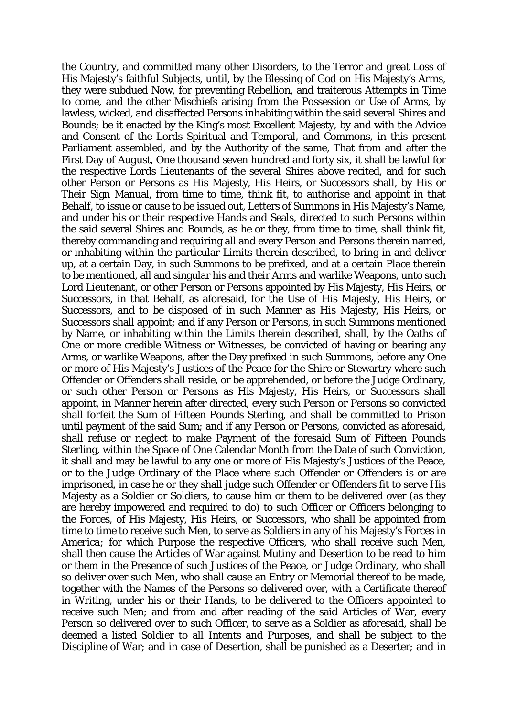the Country, and committed many other Disorders, to the Terror and great Loss of His Majesty's faithful Subjects, until, by the Blessing of God on His Majesty's Arms, they were subdued Now, for preventing Rebellion, and traiterous Attempts in Time to come, and the other Mischiefs arising from the Possession or Use of Arms, by lawless, wicked, and disaffected Persons inhabiting within the said several Shires and Bounds; be it enacted by the King's most Excellent Majesty, by and with the Advice and Consent of the Lords Spiritual and Temporal, and Commons, in this present Parliament assembled, and by the Authority of the same, That from and after the First Day of *August,* One thousand seven hundred and forty six, it shall be lawful for the respective Lords Lieutenants of the several Shires above recited, and for such other Person or Persons as His Majesty, His Heirs, or Successors shall, by His or Their Sign Manual, from time to time, think fit, to authorise and appoint in that Behalf, to issue or cause to be issued out, Letters of Summons in His Majesty's Name, and under his or their respective Hands and Seals, directed to such Persons within the said several Shires and Bounds, as he or they, from time to time, shall think fit, thereby commanding and requiring all and every Person and Persons therein named, or inhabiting within the particular Limits therein described, to bring in and deliver up, at a certain Day, in such Summons to be prefixed, and at a certain Place therein to be mentioned, all and singular his and their Arms and warlike Weapons, unto such Lord Lieutenant, or other Person or Persons appointed by His Majesty, His Heirs, or Successors, in that Behalf, as aforesaid, for the Use of His Majesty, His Heirs, or Successors, and to be disposed of in such Manner as His Majesty, His Heirs, or Successors shall appoint; and if any Person or Persons, in such Summons mentioned by Name, or inhabiting within the Limits therein described, shall, by the Oaths of One or more credible Witness or Witnesses, be convicted of having or bearing any Arms, or warlike Weapons, after the Day prefixed in such Summons, before any One or more of His Majesty's Justices of the Peace for the Shire or Stewartry where such Offender or Offenders shall reside, or be apprehended, or before the Judge Ordinary, or such other Person or Persons as His Majesty, His Heirs, or Successors shall appoint, in Manner herein after directed, every such Person or Persons so convicted shall forfeit the Sum of Fifteen Pounds Sterling, and shall be committed to Prison until payment of the said Sum; and if any Person or Persons, convicted as aforesaid, shall refuse or neglect to make Payment of the foresaid Sum of Fifteen Pounds Sterling, within the Space of One Calendar Month from the Date of such Conviction, it shall and may be lawful to any one or more of His Majesty's Justices of the Peace, or to the Judge Ordinary of the Place where such Offender or Offenders is or are imprisoned, in case he or they shall judge such Offender or Offenders fit to serve His Majesty as a Soldier or Soldiers, to cause him or them to be delivered over (as they are hereby impowered and required to do) to such Officer or Officers belonging to the Forces, of His Majesty, His Heirs, or Successors, who shall be appointed from time to time to receive such Men, to serve as Soldiers in any of his Majesty's Forces in *America;* for which Purpose the respective Officers, who shall receive such Men, shall then cause the Articles of War against Mutiny and Desertion to be read to him or them in the Presence of such Justices of the Peace, or Judge Ordinary, who shall so deliver over such Men, who shall cause an Entry or Memorial thereof to be made, together with the Names of the Persons so delivered over, with a Certificate thereof in Writing, under his or their Hands, to be delivered to the Officers appointed to receive such Men; and from and after reading of the said Articles of War, every Person so delivered over to such Officer, to serve as a Soldier as aforesaid, shall be deemed a listed Soldier to all Intents and Purposes, and shall be subject to the Discipline of War; and in case of Desertion, shall be punished as a Deserter; and in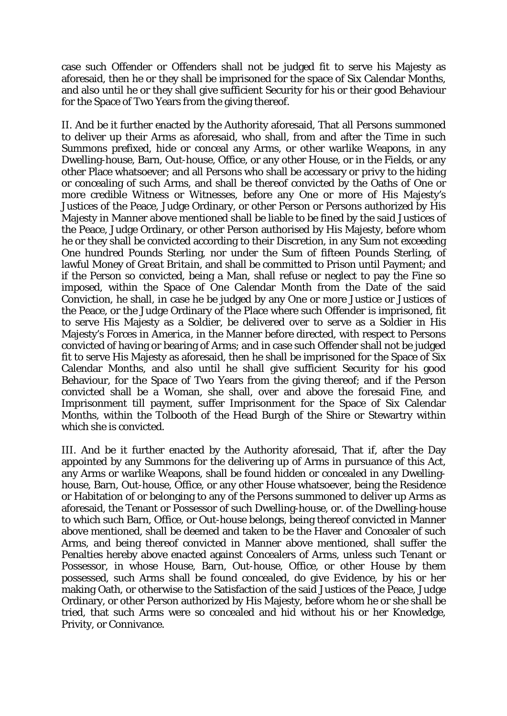case such Offender or Offenders shall not be judged fit to serve his Majesty as aforesaid, then he or they shall be imprisoned for the space of Six Calendar Months, and also until he or they shall give sufficient Security for his or their good Behaviour for the Space of Two Years from the giving thereof.

II. And be it further enacted by the Authority aforesaid, That all Persons summoned to deliver up their Arms as aforesaid, who shall, from and after the Time in such Summons prefixed, hide or conceal any Arms, or other warlike Weapons, in any Dwelling-house, Barn, Out-house, Office, or any other House, or in the Fields, or any other Place whatsoever; and all Persons who shall be accessary or privy to the hiding or concealing of such Arms, and shall be thereof convicted by the Oaths of One or more credible Witness or Witnesses, before any One or more of His Majesty's Justices of the Peace, Judge Ordinary, or other Person or Persons authorized by His Majesty in Manner above mentioned shall be liable to be fined by the said Justices of the Peace, Judge Ordinary, or other Person authorised by His Majesty, before whom he or they shall be convicted according to their Discretion, in any Sum not exceeding One hundred Pounds Sterling, nor under the Sum of fifteen Pounds Sterling, of lawful Money of *Great Britain,* and shall be committed to Prison until Payment; and if the Person so convicted, being a Man, shall refuse or neglect to pay the Fine so imposed, within the Space of One Calendar Month from the Date of the said Conviction, he shall, in case he be judged by any One or more Justice or Justices of the Peace, or the Judge Ordinary of the Place where such Offender is imprisoned, fit to serve His Majesty as a Soldier, be delivered over to serve as a Soldier in His Majesty's Forces in *America,* in the Manner before directed, with respect to Persons convicted of having or bearing of Arms; and in case such Offender shall not be judged fit to serve His Majesty as aforesaid, then he shall be imprisoned for the Space of Six Calendar Months, and also until he shall give sufficient Security for his good Behaviour, for the Space of Two Years from the giving thereof; and if the Person convicted shall be a Woman, she shall, over and above the foresaid Fine, and Imprisonment till payment, suffer Imprisonment for the Space of Six Calendar Months, within the *Tolbooth* of the Head Burgh of the Shire or Stewartry within which she is convicted.

III. And be it further enacted by the Authority aforesaid, That if, after the Day appointed by any Summons for the delivering up of Arms in pursuance of this Act, any Arms or warlike Weapons, shall be found hidden or concealed in any Dwellinghouse, Barn, Out-house, Office, or any other House whatsoever, being the Residence or Habitation of or belonging to any of the Persons summoned to deliver up Arms as aforesaid, the Tenant or Possessor of such Dwelling-house, or. of the Dwelling-house to which such Barn, Office, or Out-house belongs, being thereof convicted in Manner above mentioned, shall be deemed and taken to be the Haver and Concealer of such Arms, and being thereof convicted in Manner above mentioned, shall suffer the Penalties hereby above enacted against Concealers of Arms, unless such Tenant or Possessor, in whose House, Barn, Out-house, Office, or other House by them possessed, such Arms shall be found concealed, do give Evidence, by his or her making Oath, or otherwise to the Satisfaction of the said Justices of the Peace, Judge Ordinary, or other Person authorized by His Majesty, before whom he or she shall be tried, that such Arms were so concealed and hid without his or her Knowledge, Privity, or Connivance.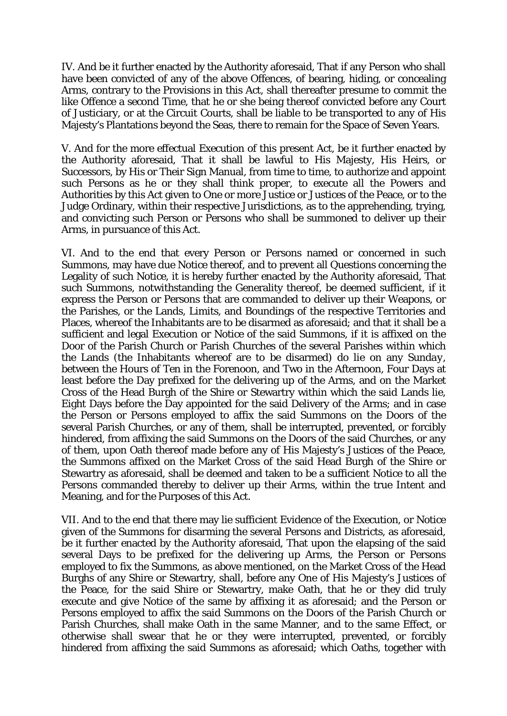IV. And be it further enacted by the Authority aforesaid, That if any Person who shall have been convicted of any of the above Offences, of bearing, hiding, or concealing Arms, contrary to the Provisions in this Act, shall thereafter presume to commit the like Offence a second Time, that he or she being thereof convicted before any Court of Justiciary, or at the Circuit Courts, shall be liable to be transported to any of His Majesty's Plantations beyond the Seas, there to remain for the Space of Seven Years.

V. And for the more effectual Execution of this present Act, be it further enacted by the Authority aforesaid, That it shall be lawful to His Majesty, His Heirs, or Successors, by His or Their Sign Manual, from time to time, to authorize and appoint such Persons as he or they shall think proper, to execute all the Powers and Authorities by this Act given to One or more Justice or Justices of the Peace, or to the Judge Ordinary, within their respective Jurisdictions, as to the apprehending, trying, and convicting such Person or Persons who shall be summoned to deliver up their Arms, in pursuance of this Act.

VI. And to the end that every Person or Persons named or concerned in such Summons, may have due Notice thereof, and to prevent all Questions concerning the Legality of such Notice, it is hereby further enacted by the Authority aforesaid, That such Summons, notwithstanding the Generality thereof, be deemed sufficient, if it express the Person or Persons that are commanded to deliver up their Weapons, or the Parishes, or the Lands, Limits, and Boundings of the respective Territories and Places, whereof the Inhabitants are to be disarmed as aforesaid; and that it shall be a sufficient and legal Execution or Notice of the said Summons, if it is affixed on the Door of the Parish Church or Parish Churches of the several Parishes within which the Lands (the Inhabitants whereof are to be disarmed) do lie on any *Sunday,*  between the Hours of Ten in the Forenoon, and Two in the Afternoon, Four Days at least before the Day prefixed for the delivering up of the Arms, and on the Market Cross of the Head Burgh of the Shire or Stewartry within which the said Lands lie, Eight Days before the Day appointed for the said Delivery of the Arms; and in case the Person or Persons employed to affix the said Summons on the Doors of the several Parish Churches, or any of them, shall be interrupted, prevented, or forcibly hindered, from affixing the said Summons on the Doors of the said Churches, or any of them, upon Oath thereof made before any of His Majesty's Justices of the Peace, the Summons affixed on the Market Cross of the said Head Burgh of the Shire or Stewartry as aforesaid, shall be deemed and taken to be a sufficient Notice to all the Persons commanded thereby to deliver up their Arms, within the true Intent and Meaning, and for the Purposes of this Act.

VII. And to the end that there may lie sufficient Evidence of the Execution, or Notice given of the Summons for disarming the several Persons and Districts, as aforesaid, be it further enacted by the Authority aforesaid, That upon the elapsing of the said several Days to be prefixed for the delivering up Arms, the Person or Persons employed to fix the Summons, as above mentioned, on the Market Cross of the Head Burghs of any Shire or Stewartry, shall, before any One of His Majesty's Justices of the Peace, for the said Shire or Stewartry, make Oath, that he or they did truly execute and give Notice of the same by affixing it as aforesaid; and the Person or Persons employed to affix the said Summons on the Doors of the Parish Church or Parish Churches, shall make Oath in the same Manner, and to the same Effect, or otherwise shall swear that he or they were interrupted, prevented, or forcibly hindered from affixing the said Summons as aforesaid; which Oaths, together with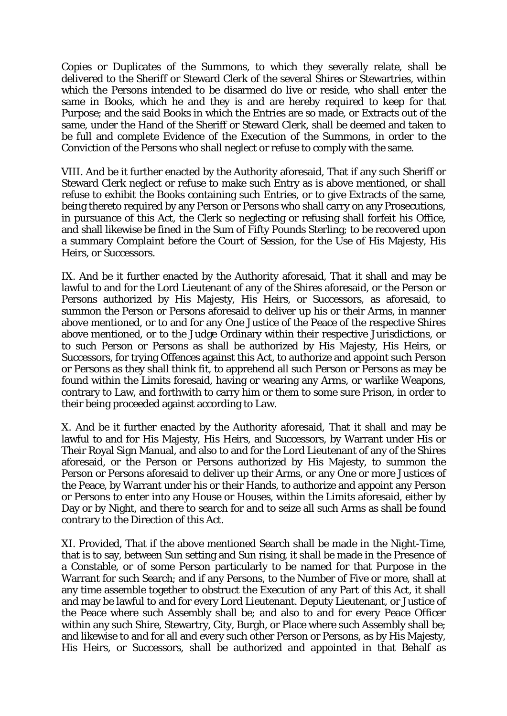Copies or Duplicates of the Summons, to which they severally relate, shall be delivered to the Sheriff or Steward Clerk of the several Shires or Stewartries, within which the Persons intended to be disarmed do live or reside, who shall enter the same in Books, which he and they is and are hereby required to keep for that Purpose; and the said Books in which the Entries are so made, or Extracts out of the same, under the Hand of the Sheriff or Steward Clerk, shall be deemed and taken to be full and complete Evidence of the Execution of the Summons, in order to the Conviction of the Persons who shall neglect or refuse to comply with the same.

VIII. And be it further enacted by the Authority aforesaid, That if any such Sheriff or Steward Clerk neglect or refuse to make such Entry as is above mentioned, or shall refuse to exhibit the Books containing such Entries, or to give Extracts of the same, being thereto required by any Person or Persons who shall carry on any Prosecutions, in pursuance of this Act, the Clerk so neglecting or refusing shall forfeit his Office, and shall likewise be fined in the Sum of Fifty Pounds Sterling; to be recovered upon a summary Complaint before the Court of Session, for the Use of His Majesty, His Heirs, or Successors.

IX. And be it further enacted by the Authority aforesaid, That it shall and may be lawful to and for the Lord Lieutenant of any of the Shires aforesaid, or the Person or Persons authorized by His Majesty, His Heirs, or Successors, as aforesaid, to summon the Person or Persons aforesaid to deliver up his or their Arms, in manner above mentioned, or to and for any One Justice of the Peace of the respective Shires above mentioned, or to the Judge Ordinary within their respective Jurisdictions, or to such Person or Persons as shall be authorized by His Majesty, His Heirs, or Successors, for trying Offences against this Act, to authorize and appoint such Person or Persons as they shall think *fit,* to apprehend all such Person or Persons as may be found within the Limits foresaid, having or wearing any Arms, or warlike Weapons, contrary to Law, and forthwith to carry him or them to some sure Prison, in order to their being proceeded against according to Law.

X. And be it further enacted by the Authority aforesaid, That it shall and may be lawful to and for His Majesty, His Heirs, and Successors, by Warrant under His or Their Royal Sign Manual, and also to and for the Lord Lieutenant of any of the Shires aforesaid, or the Person or Persons authorized by His Majesty, to summon the Person or Persons aforesaid to deliver up their Arms, or any One or more Justices of the Peace, by Warrant under his or their Hands, to authorize and appoint any Person or Persons to enter into any House or Houses, within the Limits aforesaid, either by Day or by Night, and there to search for and to seize all such Arms as shall be found contrary to the Direction of this Act.

XI. Provided, That if the above mentioned Search shall be made in the Night-Time, that is to say, between Sun setting and Sun rising, it shall be made in the Presence of a Constable, or of some Person particularly to be named for that Purpose in the Warrant for such Search; and if any Persons, to the Number of Five or more, shall at any time assemble together to obstruct the Execution of any Part of this Act, it shall and may be lawful to and for every Lord Lieutenant. Deputy Lieutenant, or Justice of the Peace where such Assembly shall be; and also to and for every Peace Officer within any such Shire, Stewartry, City, Burgh, or Place where such Assembly shall be; and likewise to and for all and every such other Person or Persons, as by His Majesty, His Heirs, or Successors, shall be authorized and appointed in that Behalf as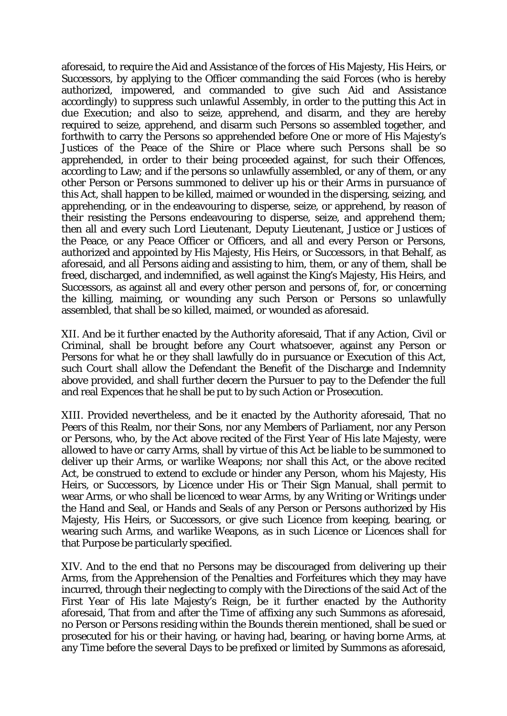aforesaid, to require the Aid and Assistance of the forces of His Majesty, His Heirs, or Successors, by applying to the Officer commanding the said Forces (who is hereby authorized, impowered, and commanded to give such Aid and Assistance accordingly) to suppress such unlawful Assembly, in order to the putting this Act in due Execution; and also to seize, apprehend, and disarm, and they are hereby required to seize, apprehend, and disarm such Persons so assembled together, and forthwith to carry the Persons so apprehended before One or more of His Majesty's Justices of the Peace of the Shire or Place where such Persons shall be so apprehended, in order to their being proceeded against, for such their Offences, according to Law; and if the persons so unlawfully assembled, or any of them, or any other Person or Persons summoned to deliver up his or their Arms in pursuance of this Act, shall happen to be killed, maimed or wounded in the dispersing, seizing, and apprehending, or in the endeavouring to disperse, seize, or apprehend, by reason of their resisting the Persons endeavouring to disperse, seize, and apprehend them; then all and every such Lord Lieutenant, Deputy Lieutenant, Justice or Justices of the Peace, or any Peace Officer or Officers, and all and every Person or Persons, authorized and appointed by His Majesty, His Heirs, or Successors, in that Behalf, as aforesaid, and all Persons aiding and assisting to him, them, or any of them, shall be freed, discharged, and indemnified, as well against the King's Majesty, His Heirs, and Successors, as against all and every other person and persons of, for, or concerning the killing, maiming, or wounding any such Person or Persons so unlawfully assembled, that shall be so killed, maimed, or wounded as aforesaid.

XII. And be it further enacted by the Authority aforesaid, That if any Action, Civil or Criminal, shall be brought before any Court whatsoever, against any Person or Persons for what he or they shall lawfully do in pursuance or Execution of this Act, such Court shall allow the Defendant the Benefit of the Discharge and Indemnity above provided, and shall further decern the Pursuer to pay to the Defender the full and real Expences that he shall be put to by such Action or Prosecution.

XIII. Provided nevertheless, and be it enacted by the Authority aforesaid, That no Peers of this Realm, nor their Sons, nor any Members of Parliament, nor any Person or Persons, who, by the Act above recited of the First Year of His late Majesty, were allowed to have or carry Arms, shall by virtue of this Act be liable to be summoned to deliver up their Arms, or warlike Weapons; nor shall this Act, or the above recited Act, be construed to extend to exclude or hinder any Person, whom his Majesty, His Heirs, or Successors, by Licence under His or Their Sign Manual, shall permit to wear Arms, or who shall be licenced to wear Arms, by any Writing or Writings under the Hand and Seal, or Hands and Seals of any Person or Persons authorized by His Majesty, His Heirs, or Successors, or give such Licence from keeping, bearing, or wearing such Arms, and warlike Weapons, as in such Licence or Licences shall for that Purpose be particularly specified.

XIV. And to the end that no Persons may be discouraged from delivering up their Arms, from the Apprehension of the Penalties and Forfeitures which they may have incurred, through their neglecting to comply with the Directions of the said Act of the First Year of His late Majesty's Reign, be it further enacted by the Authority aforesaid, That from and after the Time of affixing any such Summons as aforesaid, no Person or Persons residing within the Bounds therein mentioned, shall be sued or prosecuted for his or their having, or having had, bearing, or having borne Arms, at any Time before the several Days to be prefixed or limited by Summons as aforesaid,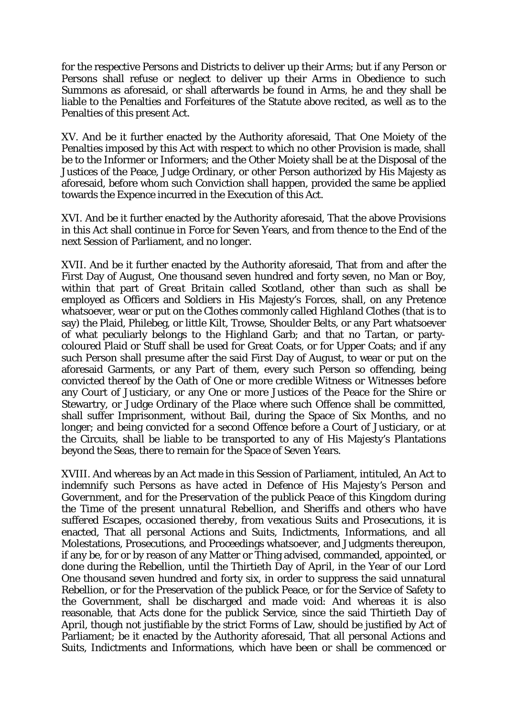for the respective Persons and Districts to deliver up their Arms; but if any Person or Persons shall refuse or neglect to deliver up their Arms in Obedience to such Summons as aforesaid, or shall afterwards be found in Arms, he and they shall be liable to the Penalties and Forfeitures of the Statute above recited, as well as to the Penalties of this present Act.

XV. And be it further enacted by the Authority aforesaid, That One Moiety of the Penalties imposed by this Act with respect to which no other Provision is made, shall be to the Informer or Informers; and the Other Moiety shall be at the Disposal of the Justices of the Peace, Judge Ordinary, or other Person authorized by His Majesty as aforesaid, before whom such Conviction shall happen, provided the same be applied towards the Expence incurred in the Execution of this Act.

XVI. And be it further enacted by the Authority aforesaid, That the above Provisions in this Act shall continue in Force for Seven Years, and from thence to the End of the next Session of Parliament, and no longer.

XVII. And be it further enacted by the Authority aforesaid, That from and after the First Day of *August,* One thousand seven hundred and forty seven, no Man or Boy, within that part of *Great Britain* called *Scotland,* other than such as shall be employed as Officers and Soldiers in His Majesty's Forces, shall, on any Pretence whatsoever, wear or put on the Clothes commonly called *Highland Clothes* (that is to say) the Plaid, Philebeg, or little Kilt, Trowse, Shoulder Belts, or any Part whatsoever of what peculiarly belongs to the Highland Garb; and that no Tartan, or partycoloured Plaid or Stuff shall be used for Great Coats, or for Upper Coats; and if any such Person shall presume after the said First Day of *August,* to wear or put on the aforesaid Garments, or any Part of them, every such Person so offending, being convicted thereof by the Oath of One or more credible Witness or Witnesses before any Court of Justiciary, or any One or more Justices of the Peace for the Shire or Stewartry, or Judge Ordinary of the Place where such Offence shall be committed, shall suffer Imprisonment, without Bail, during the Space of Six Months, and no longer; and being convicted for a second Offence before a Court of Justiciary, or at the Circuits, shall be liable to be transported to any of His Majesty's Plantations beyond the Seas, there to remain for the Space of Seven Years.

XVIII. And whereas by an Act made in this Session of Parliament, intituled, *An Act to indemnify such Persons as have acted in Defence of His Majesty's Person and Government, and for the Preservation of the publick Peace of this Kingdom during the Time of the present unnatural Rebellion, and Sheriffs and others who have suffered Escapes, occasioned thereby*, *from vexatious Suits and Prosecutions*, it is enacted, That all personal Actions and Suits, Indictments, Informations, and all Molestations, Prosecutions, and Proceedings whatsoever, and Judgments thereupon, if any be, for or by reason of any Matter or Thing advised, commanded, appointed, or done during the Rebellion, until the Thirtieth Day of *April*, in the Year of our Lord One thousand seven hundred and forty six, in order to suppress the said unnatural Rebellion, or for the Preservation of the publick Peace, or for the Service of Safety to the Government, shall be discharged and made void: And whereas it is also reasonable, that Acts done for the publick Service, since the said Thirtieth Day of *April*, though not justifiable by the strict Forms of Law, should be justified by Act of Parliament; be it enacted by the Authority aforesaid, That all personal Actions and Suits, Indictments and Informations, which have been or shall be commenced or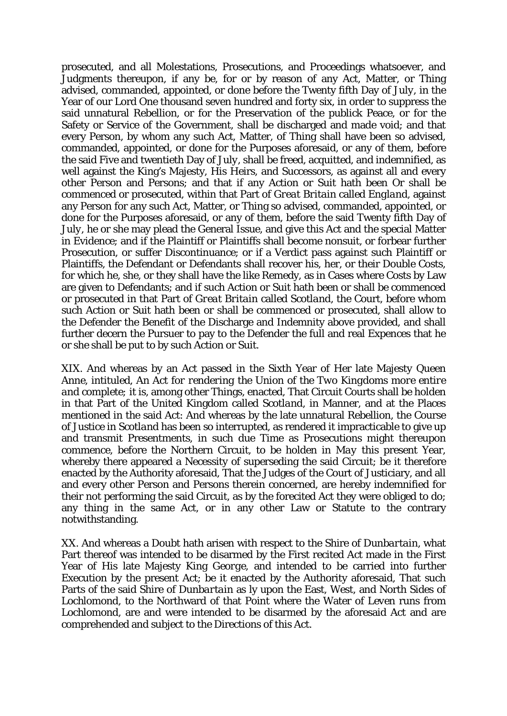prosecuted, and all Molestations, Prosecutions, and Proceedings whatsoever, and Judgments thereupon, if any be, for or by reason of any Act, Matter, or Thing advised, commanded, appointed, or done before the Twenty fifth Day of *July*, in the Year of our Lord One thousand seven hundred and forty six, in order to suppress the said unnatural Rebellion, or for the Preservation of the publick Peace, or for the Safety or Service of the Government, shall be discharged and made void; and that every Person, by whom any such Act, Matter, of Thing shall have been so advised, commanded, appointed, or done for the Purposes aforesaid, or any of them, before the said Five and twentieth Day of *July*, shall be freed, acquitted, and indemnified, as well against the King's Majesty, His Heirs, and Successors, as against all and every other Person and Persons; and that if any Action or Suit hath been Or shall be commenced or prosecuted, within that Part of *Great Britain* called *England*, against any Person for any such Act, Matter, or Thing so advised, commanded, appointed, or done for the Purposes aforesaid, or any of them, before the said Twenty fifth Day of *July*, he or she may plead the General Issue, and give this Act and the special Matter in Evidence; and if the Plaintiff or Plaintiffs shall become nonsuit, or forbear further Prosecution, or suffer Discontinuance; or if a Verdict pass against such Plaintiff or Plaintiffs, the Defendant or Defendants shall recover his, her, or their Double Costs, for which he, she, or they shall have the like Remedy, as in Cases where Costs by Law are given to Defendants; and if such Action or Suit hath been or shall be commenced or prosecuted in that Part of *Great Britain* called *Scotland*, the Court, before whom such Action or Suit hath been or shall be commenced or prosecuted, shall allow to the Defender the Benefit of the Discharge and Indemnity above provided, and shall further decern the Pursuer to pay to the Defender the full and real Expences that he or she shall be put to by such Action or Suit.

XIX. And whereas by an Act passed in the Sixth Year of Her late Majesty Queen *Anne,* intituled, *An Act for rendering the Union of the Two Kingdoms more entire and complete;* it is, among other Things, enacted, That Circuit Courts shall be holden in that Part of the United Kingdom called *Scotland,* in Manner, and at the Places mentioned in the said Act: And whereas by the late unnatural Rebellion, the Course of Justice in *Scotland* has been so interrupted, as rendered it impracticable to give up and transmit Presentments, in such due Time as Prosecutions might thereupon commence, before the Northern Circuit, to be holden in *May* this present Year, whereby there appeared a Necessity of superseding the said Circuit; be it therefore enacted by the Authority aforesaid, That the Judges of the Court of Justiciary, and all and every other Person and Persons therein concerned, are hereby indemnified for their not performing the said Circuit, as by the forecited Act they were obliged to do; any thing in the same Act, or in any other Law or Statute to the contrary notwithstanding.

XX. And whereas a Doubt hath arisen with respect to the Shire of *Dunbartain,* what Part thereof was intended to be disarmed by the First recited Act made in the First Year of His late Majesty King *George,* and intended to be carried into further Execution by the present Act; be it enacted by the Authority aforesaid, That such Parts of the said Shire of *Dunbartain* as ly upon the East, West, and North Sides of *Lochlomond,* to the Northward of that Point where the Water of *Leven* runs from *Lochlomond,* are and were intended to be disarmed by the aforesaid Act and are comprehended and subject to the Directions of this Act.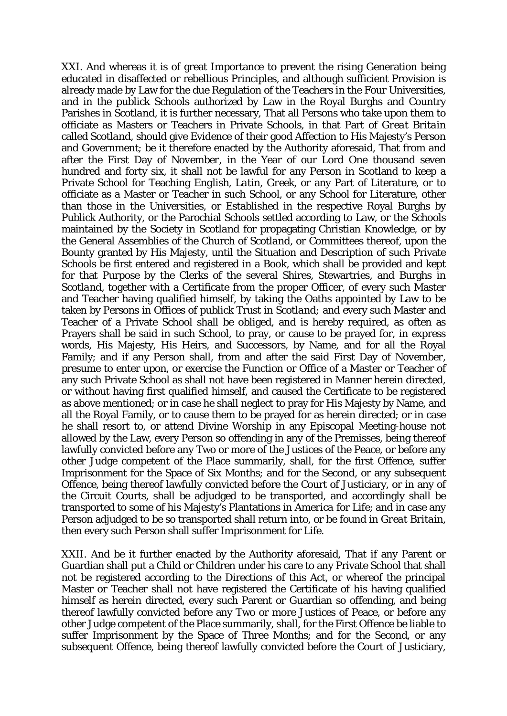XXI. And whereas it is of great Importance to prevent the rising Generation being educated in disaffected or rebellious Principles, and although sufficient Provision is already made by Law for the due Regulation of the Teachers in the Four Universities, and in the publick Schools authorized by Law in the Royal Burghs and Country Parishes in *Scotland,* it is further necessary, That all Persons who take upon them to officiate as Masters or Teachers in Private Schools, in that Part of *Great Britain*  called *Scotland,* should give Evidence of their good Affection to His Majesty's Person and Government; be it therefore enacted by the Authority aforesaid, That from and after the First Day of *November,* in the Year of our Lord One thousand seven hundred and forty six, it shall not be lawful for any Person in Scotland to keep a Private School for Teaching *English, Latin, Greek,* or any Part of Literature, or to officiate as a Master or Teacher in such School, or any School for Literature, other than those in the Universities, or Established in the respective Royal Burghs by Publick Authority, or the Parochial Schools settled according to Law, or the Schools maintained by the Society in *Scotland* for propagating Christian Knowledge, or by the General Assemblies of the Church of *Scotland,* or Committees thereof, upon the Bounty granted by His Majesty, until the Situation and Description of such Private Schools be first entered and registered in a Book, which shall be provided and kept for that Purpose by the Clerks of the several Shires, Stewartries, and Burghs in *Scotland,* together with a Certificate from the proper Officer, of every such Master and Teacher having qualified himself, by taking the Oaths appointed by Law to be taken by Persons in Offices of publick Trust in *Scotland;* and every such Master and Teacher of a Private School shall be obliged, and is hereby required, as often as Prayers shall be said in such School, to pray, or cause to be prayed for, in express words, His Majesty, His Heirs, and Successors, by Name, and for all the Royal Family; and if any Person shall, from and after the said First Day of *November,*  presume to enter upon, or exercise the Function or Office of a Master or Teacher of any such Private School as shall not have been registered in Manner herein directed, or without having first qualified himself, and caused the Certificate to be registered as above mentioned; or in case he shall neglect to pray for His Majesty by Name, and all the Royal Family, or to cause them to be prayed for as herein directed; or in case he shall resort to, or attend Divine Worship in any Episcopal Meeting-house not allowed by the Law, every Person so offending in any of the Premisses, being thereof lawfully convicted before any Two or more of the Justices of the Peace, or before any other Judge competent of the Place summarily, shall, for the first Offence, suffer Imprisonment for the Space of Six Months; and for the Second, or any subsequent Offence, being thereof lawfully convicted before the Court of Justiciary, or in any of the Circuit Courts, shall be adjudged to be transported, and accordingly shall be transported to some of his Majesty's Plantations in *America* for Life; and in case any Person adjudged to be so transported shall return into, or be found in *Great Britain,*  then every such Person shall suffer Imprisonment for Life.

XXII. And be it further enacted by the Authority aforesaid, That if any Parent or Guardian shall put a Child or Children under his care to any Private School that shall not be registered according to the Directions of this Act, or whereof the principal Master or Teacher shall not have registered the Certificate of his having qualified himself as herein directed, every such Parent or Guardian so offending, and being thereof lawfully convicted before any Two or more Justices of Peace, or before any other Judge competent of the Place summarily, shall, for the First Offence be liable to suffer Imprisonment by the Space of Three Months; and for the Second, or any subsequent Offence, being thereof lawfully convicted before the Court of Justiciary,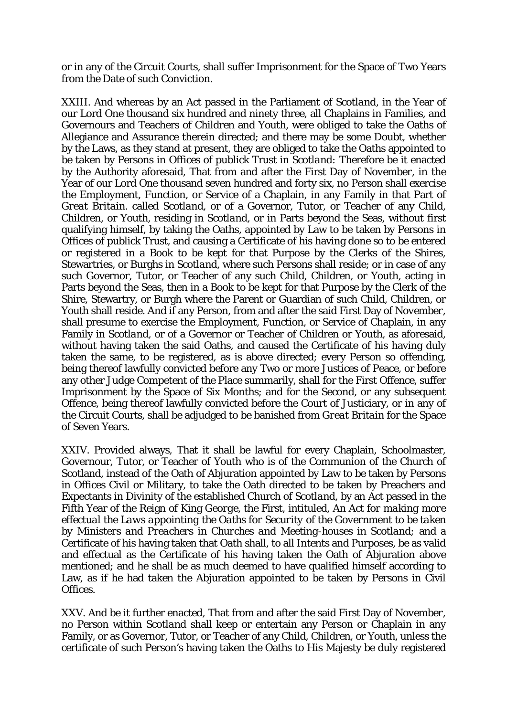or in any of the Circuit Courts, shall suffer Imprisonment for the Space of Two Years from the Date of such Conviction.

XXIII. And whereas by an Act passed in the Parliament of *Scotland,* in the Year of our Lord One thousand six hundred and ninety three, all Chaplains in Families, and Governours and Teachers of Children and Youth, were obliged to take the Oaths of Allegiance and Assurance therein directed; and there may be some Doubt, whether by the Laws, as they stand at present, they are obliged to take the Oaths appointed to be taken by Persons in Offices of publick Trust in *Scotland:* Therefore be it enacted by the Authority aforesaid, That from and after the First Day of *November,* in the Year of our Lord One thousand seven hundred and forty six, no Person shall exercise the Employment, Function, or Service of a Chaplain, in any Family in that Part of *Great Britain.* called *Scotland,* or of a Governor, Tutor, or Teacher of any Child, Children, or Youth, residing in *Scotland,* or in Parts beyond the Seas, without first qualifying himself, by taking the Oaths, appointed by Law to be taken by Persons in Offices of publick Trust, and causing a Certificate of his having done so to be entered or registered in a Book to be kept for that Purpose by the Clerks of the Shires, Stewartries, or Burghs in *Scotland,* where such Persons shall reside; or in case of any such Governor, Tutor, or Teacher of any such Child, Children, or Youth, acting in Parts beyond the Seas, then in a Book to be kept for that Purpose by the Clerk of the Shire, Stewartry, or Burgh where the Parent or Guardian of such Child, Children, or Youth shall reside. And if any Person, from and after the said First Day of *November,*  shall presume to exercise the Employment, Function, or Service of Chaplain, in any Family in *Scotland,* or of a Governor or Teacher of Children or Youth, as aforesaid, without having taken the said Oaths, and caused the Certificate of his having duly taken the same, to be registered, as is above directed; every Person so offending, being thereof lawfully convicted before any Two or more Justices of Peace, or before any other Judge Competent of the Place summarily, shall for the First Offence, suffer Imprisonment by the Space of Six Months; and for the Second, or any subsequent Offence, being thereof lawfully convicted before the Court of Justiciary, or in any of the Circuit Courts, shall be adjudged to be banished from *Great Britain* for the Space of Seven Years.

XXIV. Provided always, That it shall be lawful for every Chaplain, Schoolmaster, Governour, Tutor, or Teacher of Youth who is of the Communion of the Church of Scotland, instead of the Oath of Abjuration appointed by Law to be taken by Persons in Offices Civil or Military, to take the Oath directed to be taken by Preachers and Expectants in Divinity of the established Church of *Scotland,* by an Act passed in the Fifth Year of the Reign of King *George,* the First, intituled, *An Act for making more effectual the Laws appointing the Oaths for Security of the Government to be taken by Ministers and Preachers in Churches and Meeting-houses in Scotland;* and a Certificate of his having taken that Oath shall, to all Intents and Purposes, be as valid and effectual as the Certificate of his having taken the Oath of Abjuration above mentioned; and he shall be as much deemed to have qualified himself according to Law, as if he had taken the Abjuration appointed to be taken by Persons in Civil Offices.

XXV. And be it further enacted, That from and after the said First Day of *November,*  no Person within *Scotland* shall keep or entertain any Person or Chaplain in any Family, or as Governor, Tutor, or Teacher of any Child, Children, or Youth, unless the certificate of such Person's having taken the Oaths to His Majesty be duly registered